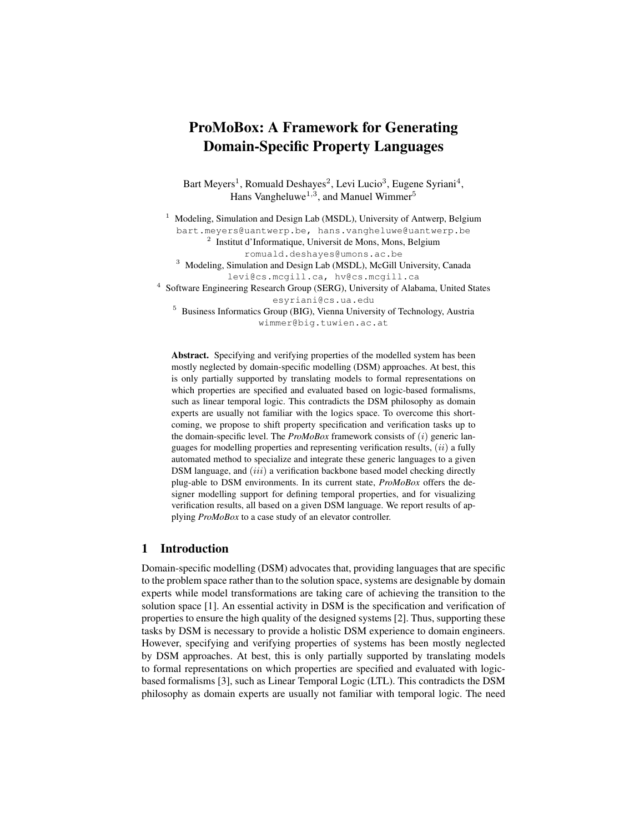# ProMoBox: A Framework for Generating Domain-Specific Property Languages

Bart Meyers<sup>1</sup>, Romuald Deshayes<sup>2</sup>, Levi Lucio<sup>3</sup>, Eugene Syriani<sup>4</sup>, Hans Vangheluwe<sup>1,3</sup>, and Manuel Wimmer<sup>5</sup>

 $1$  Modeling, Simulation and Design Lab (MSDL), University of Antwerp, Belgium bart.meyers@uantwerp.be, hans.vangheluwe@uantwerp.be <sup>2</sup> Institut d'Informatique, Universit de Mons, Mons, Belgium romuald.deshayes@umons.ac.be <sup>3</sup> Modeling, Simulation and Design Lab (MSDL), McGill University, Canada levi@cs.mcgill.ca, hv@cs.mcgill.ca

<sup>4</sup> Software Engineering Research Group (SERG), University of Alabama, United States esyriani@cs.ua.edu

<sup>5</sup> Business Informatics Group (BIG), Vienna University of Technology, Austria wimmer@big.tuwien.ac.at

Abstract. Specifying and verifying properties of the modelled system has been mostly neglected by domain-specific modelling (DSM) approaches. At best, this is only partially supported by translating models to formal representations on which properties are specified and evaluated based on logic-based formalisms, such as linear temporal logic. This contradicts the DSM philosophy as domain experts are usually not familiar with the logics space. To overcome this shortcoming, we propose to shift property specification and verification tasks up to the domain-specific level. The *ProMoBox* framework consists of (i) generic languages for modelling properties and representing verification results,  $(ii)$  a fully automated method to specialize and integrate these generic languages to a given DSM language, and  $(iii)$  a verification backbone based model checking directly plug-able to DSM environments. In its current state, *ProMoBox* offers the designer modelling support for defining temporal properties, and for visualizing verification results, all based on a given DSM language. We report results of applying *ProMoBox* to a case study of an elevator controller.

# 1 Introduction

Domain-specific modelling (DSM) advocates that, providing languages that are specific to the problem space rather than to the solution space, systems are designable by domain experts while model transformations are taking care of achieving the transition to the solution space [1]. An essential activity in DSM is the specification and verification of properties to ensure the high quality of the designed systems [2]. Thus, supporting these tasks by DSM is necessary to provide a holistic DSM experience to domain engineers. However, specifying and verifying properties of systems has been mostly neglected by DSM approaches. At best, this is only partially supported by translating models to formal representations on which properties are specified and evaluated with logicbased formalisms [3], such as Linear Temporal Logic (LTL). This contradicts the DSM philosophy as domain experts are usually not familiar with temporal logic. The need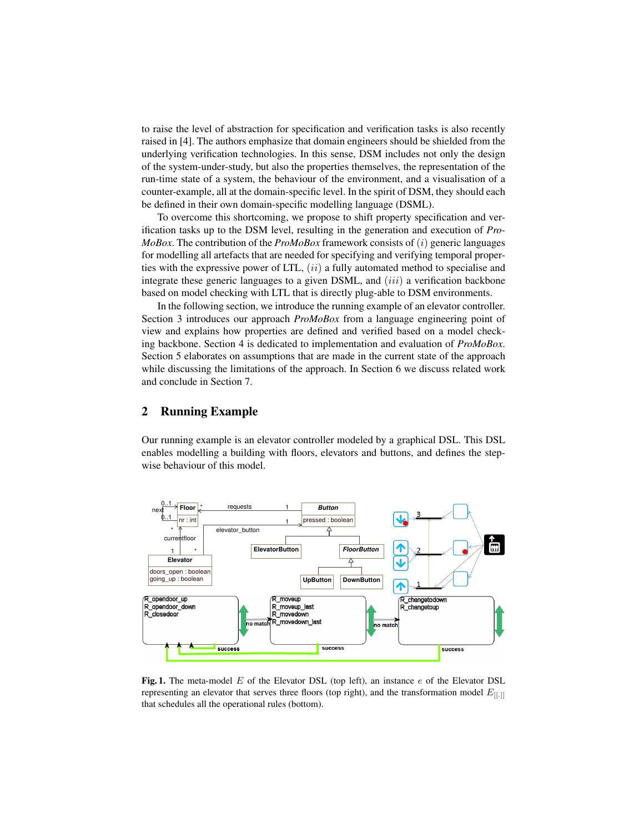to raise the level of abstraction for specification and verification tasks is also recently raised in [4]. The authors emphasize that domain engineers should be shielded from the underlying verification technologies. In this sense, DSM includes not only the design of the system-under-study, but also the properties themselves, the representation of the run-time state of a system, the behaviour of the environment, and a visualisation of a counter-example, all at the domain-specific level. In the spirit of DSM, they should each be defined in their own domain-specific modelling language (DSML).

To overcome this shortcoming, we propose to shift property specification and verification tasks up to the DSM level, resulting in the generation and execution of *Pro-MoBox*. The contribution of the *ProMoBox* framework consists of (i) generic languages for modelling all artefacts that are needed for specifying and verifying temporal properties with the expressive power of LTL,  $(ii)$  a fully automated method to specialise and integrate these generic languages to a given DSML, and  $(iii)$  a verification backbone based on model checking with LTL that is directly plug-able to DSM environments.

In the following section, we introduce the running example of an elevator controller. Section 3 introduces our approach *ProMoBox* from a language engineering point of view and explains how properties are defined and verified based on a model checking backbone. Section 4 is dedicated to implementation and evaluation of *ProMoBox*. Section 5 elaborates on assumptions that are made in the current state of the approach while discussing the limitations of the approach. In Section 6 we discuss related work and conclude in Section 7.

## 2 Running Example

Our running example is an elevator controller modeled by a graphical DSL. This DSL enables modelling a building with floors, elevators and buttons, and defines the stepwise behaviour of this model.



Fig. 1. The meta-model  $E$  of the Elevator DSL (top left), an instance  $e$  of the Elevator DSL representing an elevator that serves three floors (top right), and the transformation model  $E_{[[.]]}$ that schedules all the operational rules (bottom).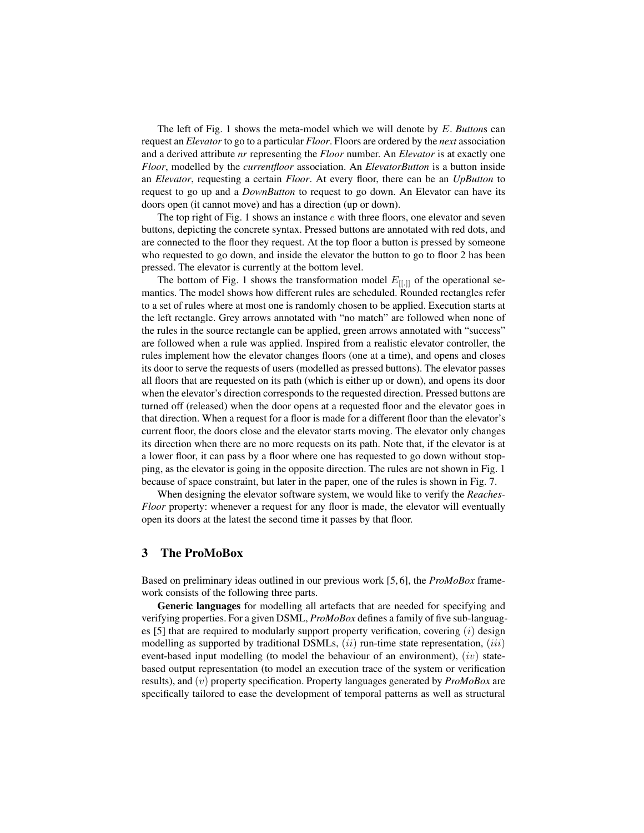The left of Fig. 1 shows the meta-model which we will denote by E. *Button*s can request an *Elevator* to go to a particular *Floor*. Floors are ordered by the *next* association and a derived attribute *nr* representing the *Floor* number. An *Elevator* is at exactly one *Floor*, modelled by the *currentfloor* association. An *ElevatorButton* is a button inside an *Elevator*, requesting a certain *Floor*. At every floor, there can be an *UpButton* to request to go up and a *DownButton* to request to go down. An Elevator can have its doors open (it cannot move) and has a direction (up or down).

The top right of Fig. 1 shows an instance  $e$  with three floors, one elevator and seven buttons, depicting the concrete syntax. Pressed buttons are annotated with red dots, and are connected to the floor they request. At the top floor a button is pressed by someone who requested to go down, and inside the elevator the button to go to floor 2 has been pressed. The elevator is currently at the bottom level.

The bottom of Fig. 1 shows the transformation model  $E_{[[.]]}$  of the operational semantics. The model shows how different rules are scheduled. Rounded rectangles refer to a set of rules where at most one is randomly chosen to be applied. Execution starts at the left rectangle. Grey arrows annotated with "no match" are followed when none of the rules in the source rectangle can be applied, green arrows annotated with "success" are followed when a rule was applied. Inspired from a realistic elevator controller, the rules implement how the elevator changes floors (one at a time), and opens and closes its door to serve the requests of users (modelled as pressed buttons). The elevator passes all floors that are requested on its path (which is either up or down), and opens its door when the elevator's direction corresponds to the requested direction. Pressed buttons are turned off (released) when the door opens at a requested floor and the elevator goes in that direction. When a request for a floor is made for a different floor than the elevator's current floor, the doors close and the elevator starts moving. The elevator only changes its direction when there are no more requests on its path. Note that, if the elevator is at a lower floor, it can pass by a floor where one has requested to go down without stopping, as the elevator is going in the opposite direction. The rules are not shown in Fig. 1 because of space constraint, but later in the paper, one of the rules is shown in Fig. 7.

When designing the elevator software system, we would like to verify the *Reaches-Floor* property: whenever a request for any floor is made, the elevator will eventually open its doors at the latest the second time it passes by that floor.

## 3 The ProMoBox

Based on preliminary ideas outlined in our previous work [5, 6], the *ProMoBox* framework consists of the following three parts.

Generic languages for modelling all artefacts that are needed for specifying and verifying properties. For a given DSML, *ProMoBox* defines a family of five sub-languages [5] that are required to modularly support property verification, covering  $(i)$  design modelling as supported by traditional DSMLs,  $(ii)$  run-time state representation,  $(iii)$ event-based input modelling (to model the behaviour of an environment),  $(iv)$  statebased output representation (to model an execution trace of the system or verification results), and (v) property specification. Property languages generated by *ProMoBox* are specifically tailored to ease the development of temporal patterns as well as structural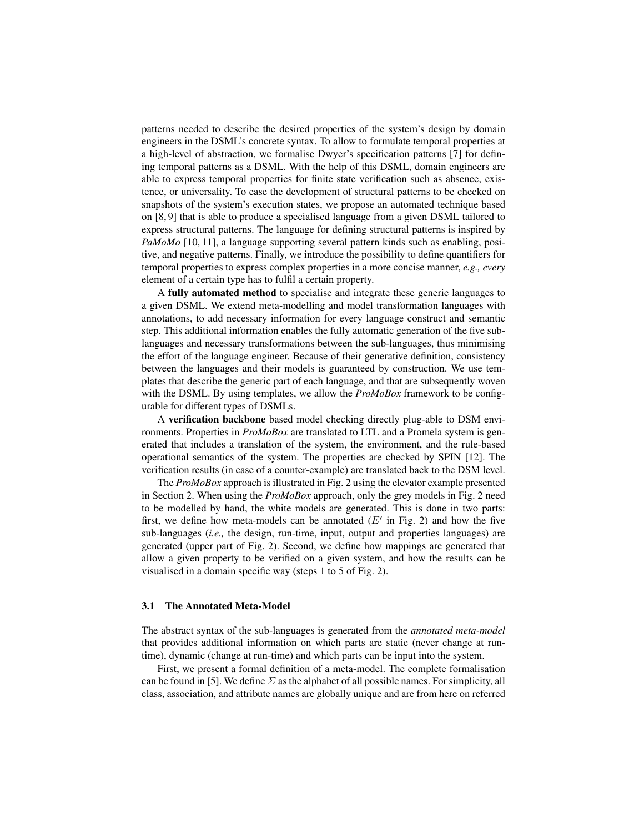patterns needed to describe the desired properties of the system's design by domain engineers in the DSML's concrete syntax. To allow to formulate temporal properties at a high-level of abstraction, we formalise Dwyer's specification patterns [7] for defining temporal patterns as a DSML. With the help of this DSML, domain engineers are able to express temporal properties for finite state verification such as absence, existence, or universality. To ease the development of structural patterns to be checked on snapshots of the system's execution states, we propose an automated technique based on [8, 9] that is able to produce a specialised language from a given DSML tailored to express structural patterns. The language for defining structural patterns is inspired by *PaMoMo* [10, 11], a language supporting several pattern kinds such as enabling, positive, and negative patterns. Finally, we introduce the possibility to define quantifiers for temporal properties to express complex properties in a more concise manner, *e.g., every* element of a certain type has to fulfil a certain property.

A fully automated method to specialise and integrate these generic languages to a given DSML. We extend meta-modelling and model transformation languages with annotations, to add necessary information for every language construct and semantic step. This additional information enables the fully automatic generation of the five sublanguages and necessary transformations between the sub-languages, thus minimising the effort of the language engineer. Because of their generative definition, consistency between the languages and their models is guaranteed by construction. We use templates that describe the generic part of each language, and that are subsequently woven with the DSML. By using templates, we allow the *ProMoBox* framework to be configurable for different types of DSMLs.

A verification backbone based model checking directly plug-able to DSM environments. Properties in *ProMoBox* are translated to LTL and a Promela system is generated that includes a translation of the system, the environment, and the rule-based operational semantics of the system. The properties are checked by SPIN [12]. The verification results (in case of a counter-example) are translated back to the DSM level.

The *ProMoBox* approach is illustrated in Fig. 2 using the elevator example presented in Section 2. When using the *ProMoBox* approach, only the grey models in Fig. 2 need to be modelled by hand, the white models are generated. This is done in two parts: first, we define how meta-models can be annotated  $(E'$  in Fig. 2) and how the five sub-languages (*i.e.,* the design, run-time, input, output and properties languages) are generated (upper part of Fig. 2). Second, we define how mappings are generated that allow a given property to be verified on a given system, and how the results can be visualised in a domain specific way (steps 1 to 5 of Fig. 2).

#### 3.1 The Annotated Meta-Model

The abstract syntax of the sub-languages is generated from the *annotated meta-model* that provides additional information on which parts are static (never change at runtime), dynamic (change at run-time) and which parts can be input into the system.

First, we present a formal definition of a meta-model. The complete formalisation can be found in [5]. We define  $\Sigma$  as the alphabet of all possible names. For simplicity, all class, association, and attribute names are globally unique and are from here on referred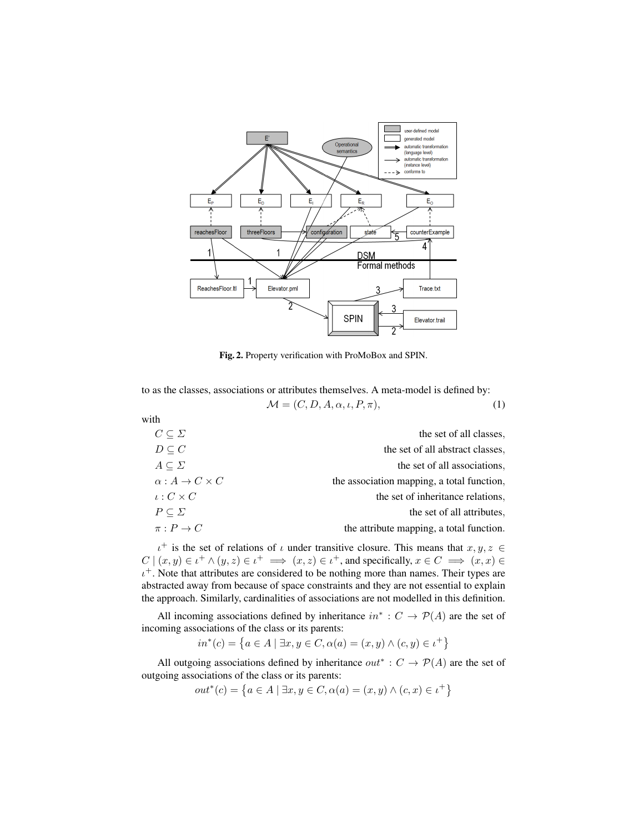

Fig. 2. Property verification with ProMoBox and SPIN.

to as the classes, associations or attributes themselves. A meta-model is defined by:  $M = (C, D, A, \alpha, \iota, P, \pi),$ (1)

| with                       |                                            |
|----------------------------|--------------------------------------------|
| $C \subseteq \Sigma$       | the set of all classes,                    |
| $D\subseteq C$             | the set of all abstract classes,           |
| $A\subseteq\Sigma$         | the set of all associations,               |
| $\alpha: A \to C \times C$ | the association mapping, a total function, |
| $\iota: C \times C$        | the set of inheritance relations,          |
| $P \subseteq \Sigma$       | the set of all attributes,                 |
| $\pi: P \to C$             | the attribute mapping, a total function.   |

 $u^+$  is the set of relations of  $\iota$  under transitive closure. This means that  $x, y, z \in$  $C \mid (x, y) \in \iota^+ \land (y, z) \in \iota^+ \implies (x, z) \in \iota^+$ , and specifically,  $x \in C \implies (x, x) \in$  $\iota^+$ . Note that attributes are considered to be nothing more than names. Their types are abstracted away from because of space constraints and they are not essential to explain the approach. Similarly, cardinalities of associations are not modelled in this definition.

All incoming associations defined by inheritance  $in^* : C \to \mathcal{P}(A)$  are the set of incoming associations of the class or its parents:

$$
in^*(c) = \{ a \in A \mid \exists x, y \in C, \alpha(a) = (x, y) \land (c, y) \in \iota^+ \}
$$

All outgoing associations defined by inheritance  $out^* : C \to \mathcal{P}(A)$  are the set of outgoing associations of the class or its parents:

 $out^*(c) = \{a \in A \mid \exists x, y \in C, \alpha(a) = (x, y) \land (c, x) \in \iota^+\}$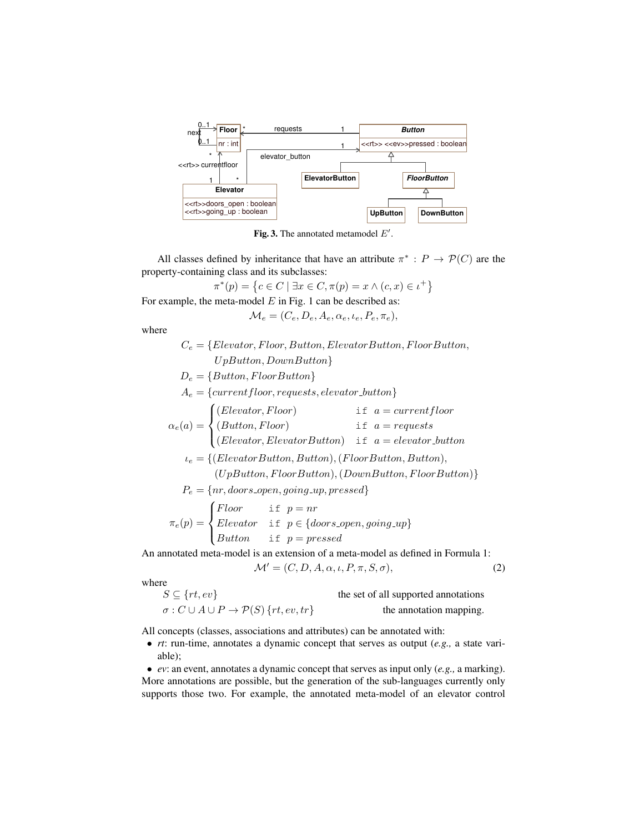

Fig. 3. The annotated metamodel  $E'$ .

All classes defined by inheritance that have an attribute  $\pi^* : P \to \mathcal{P}(C)$  are the property-containing class and its subclasses:

$$
\pi^*(p) = \{ c \in C \mid \exists x \in C, \pi(p) = x \land (c, x) \in \iota^+ \}
$$

For example, the meta-model  $E$  in Fig. 1 can be described as:

 $\mathcal{M}_e = (C_e, D_e, A_e, \alpha_e, \iota_e, P_e, \pi_e),$ 

where

 $C_e = \{Elevantor, Floor, Button, ElevantorButton, FloorButton,$ U pButton, DownButton}

 $D_e = \{Button, FloorButton\}$ 

 $A_e = \{currentfloor, requests, elevator\_button\}$ 

$$
\alpha_e(a) = \begin{cases}\n(Elevator, Floor) & \text{if } a = currentfloor \\
(Button, Floor) & \text{if } a = requests \\
(Elevator, ElevatorButton) & \text{if } a = elevator.button \\
\iota_e = \{(ElevatorButton, Button), (FloorButton, Button), \\
(UpButton, FloorButton), (DownButton, FloorButton)\}\n\end{cases}
$$
\n
$$
P_e = \{nr, doors.open, going-up, pressed\}
$$
\n
$$
\pi_e(p) = \begin{cases}\nFlow & \text{if } p = nr \\
Elevator & \text{if } p \in \{doors.open, going-up\} \\
Button & \text{if } p = pressed\n\end{cases}
$$

An annotated meta-model is an extension of a meta-model as defined in Formula 1:

 $\mathcal{M}' = (C, D, A, \alpha, \iota, P, \pi, S, \sigma),$ (2)

where

| $S \subseteq \{rt, ev\}$                                           | the set of all supported annotations |  |  |
|--------------------------------------------------------------------|--------------------------------------|--|--|
| $\sigma : C \cup A \cup P \rightarrow \mathcal{P}(S)$ {rt, ev, tr} | the annotation mapping.              |  |  |

All concepts (classes, associations and attributes) can be annotated with:

• *rt*: run-time, annotates a dynamic concept that serves as output (*e.g.,* a state variable);

• *ev*: an event, annotates a dynamic concept that serves as input only (*e.g.,* a marking). More annotations are possible, but the generation of the sub-languages currently only supports those two. For example, the annotated meta-model of an elevator control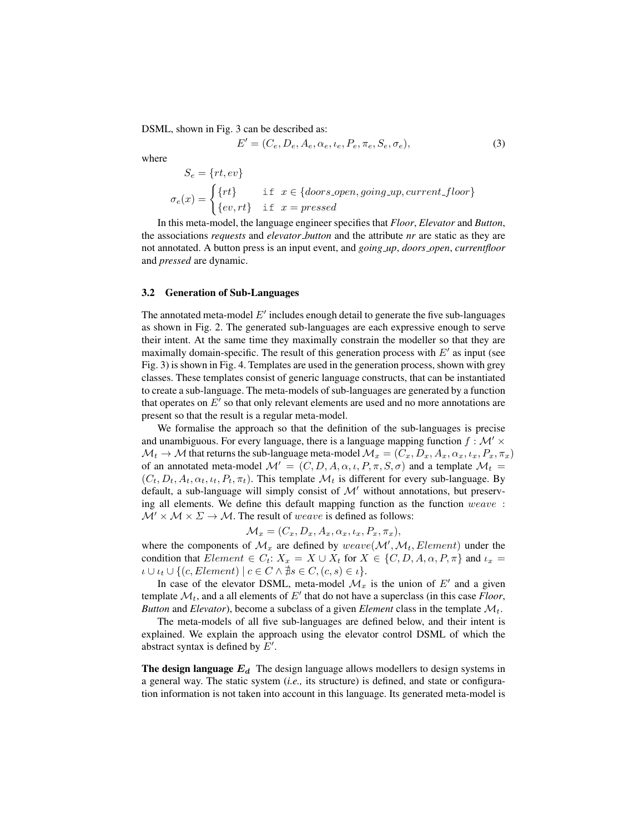DSML, shown in Fig. 3 can be described as:

$$
E' = (C_e, D_e, A_e, \alpha_e, \iota_e, P_e, \pi_e, S_e, \sigma_e),
$$
\n(3)

where

$$
S_e = \{rt, ev\}
$$
  
\n
$$
\sigma_e(x) = \begin{cases} \{rt\} & \text{if } x \in \{doors\_{open}, going\_up, current\_floor\} \\ \{ev, rt\} & \text{if } x = pressed \end{cases}
$$

In this meta-model, the language engineer specifies that *Floor*, *Elevator* and *Button*, the associations *requests* and *elevator button* and the attribute *nr* are static as they are not annotated. A button press is an input event, and *going up*, *doors open*, *currentfloor* and *pressed* are dynamic.

#### 3.2 Generation of Sub-Languages

The annotated meta-model  $E'$  includes enough detail to generate the five sub-languages as shown in Fig. 2. The generated sub-languages are each expressive enough to serve their intent. At the same time they maximally constrain the modeller so that they are maximally domain-specific. The result of this generation process with  $E'$  as input (see Fig. 3) is shown in Fig. 4. Templates are used in the generation process, shown with grey classes. These templates consist of generic language constructs, that can be instantiated to create a sub-language. The meta-models of sub-languages are generated by a function that operates on  $E'$  so that only relevant elements are used and no more annotations are present so that the result is a regular meta-model.

We formalise the approach so that the definition of the sub-languages is precise and unambiguous. For every language, there is a language mapping function  $f : \mathcal{M}' \times$  $\mathcal{M}_t \to \mathcal{M}$  that returns the sub-language meta-model  $\mathcal{M}_x = (C_x, D_x, A_x, \alpha_x, \iota_x, P_x, \pi_x)$ of an annotated meta-model  $\mathcal{M}' = (C, D, A, \alpha, \iota, P, \pi, S, \sigma)$  and a template  $\mathcal{M}_t =$  $(C_t, D_t, A_t, \alpha_t, \iota_t, P_t, \pi_t)$ . This template  $\mathcal{M}_t$  is different for every sub-language. By default, a sub-language will simply consist of  $\mathcal{M}'$  without annotations, but preserving all elements. We define this default mapping function as the function weave :  $\mathcal{M}' \times \mathcal{M} \times \Sigma \rightarrow \mathcal{M}$ . The result of *weave* is defined as follows:

$$
\mathcal{M}_x = (C_x, D_x, A_x, \alpha_x, \iota_x, P_x, \pi_x),
$$

where the components of  $\mathcal{M}_x$  are defined by  $weave(\mathcal{M}', \mathcal{M}_t, Element)$  under the condition that  $Element \in C_t$ :  $X_x = X \cup X_t$  for  $X \in \{C, D, A, \alpha, P, \pi\}$  and  $\iota_x$  $\iota \cup \iota_t \cup \{(c,Element) \mid c \in C \land \nexists s \in C, (c, s) \in \iota\}.$ 

In case of the elevator DSML, meta-model  $\mathcal{M}_x$  is the union of  $E'$  and a given template  $\mathcal{M}_t$ , and a all elements of  $E'$  that do not have a superclass (in this case *Floor*, *Button* and *Elevator*), become a subclass of a given *Element* class in the template  $\mathcal{M}_t$ .

The meta-models of all five sub-languages are defined below, and their intent is explained. We explain the approach using the elevator control DSML of which the abstract syntax is defined by  $E'$ .

The design language  $E_d$  The design language allows modellers to design systems in a general way. The static system (*i.e.,* its structure) is defined, and state or configuration information is not taken into account in this language. Its generated meta-model is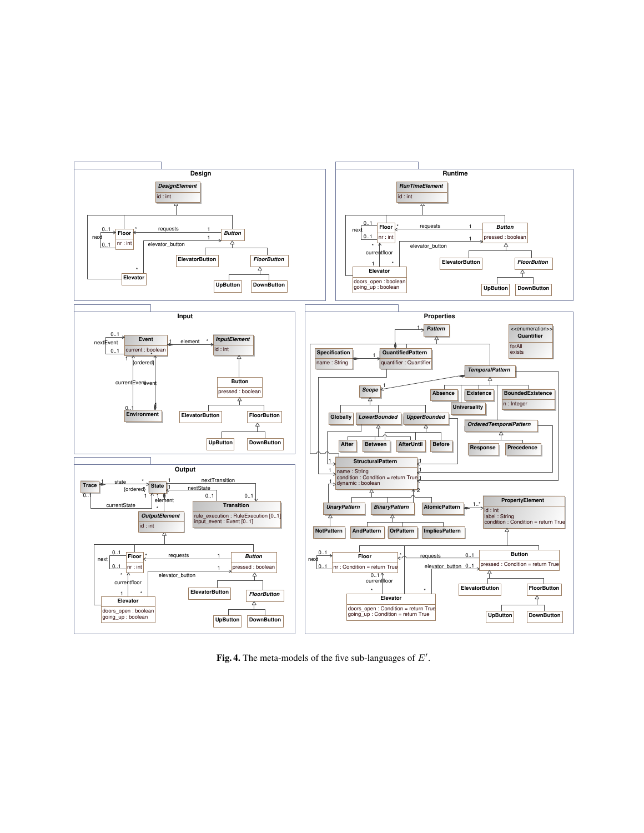

Fig. 4. The meta-models of the five sub-languages of  $E'$ .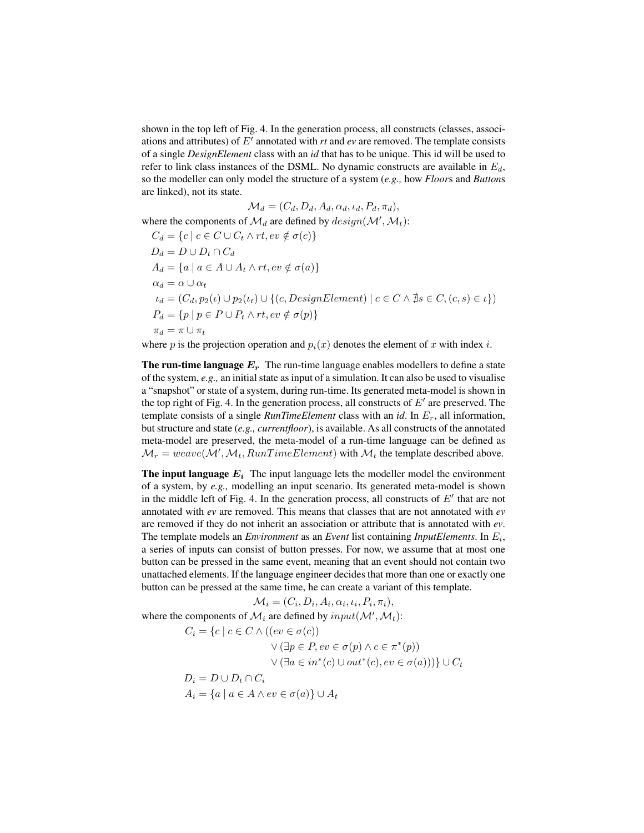shown in the top left of Fig. 4. In the generation process, all constructs (classes, associations and attributes) of  $E'$  annotated with  $rt$  and  $ev$  are removed. The template consists of a single *DesignElement* class with an *id* that has to be unique. This id will be used to refer to link class instances of the DSML. No dynamic constructs are available in  $E_d$ , so the modeller can only model the structure of a system (*e.g.,* how *Floor*s and *Button*s are linked), not its state.

$$
\mathcal{M}_d = (C_d, D_d, A_d, \alpha_d, \iota_d, P_d, \pi_d),
$$

where the components of  $\mathcal{M}_d$  are defined by  $design(\mathcal{M}',\mathcal{M}_t)$ :

$$
C_d = \{c \mid c \in C \cup C_t \land rt, ev \notin \sigma(c)\}
$$
  
\n
$$
D_d = D \cup D_t \cap C_d
$$
  
\n
$$
A_d = \{a \mid a \in A \cup A_t \land rt, ev \notin \sigma(a)\}
$$
  
\n
$$
\alpha_d = \alpha \cup \alpha_t
$$
  
\n
$$
\iota_d = (C_d, p_2(\iota) \cup p_2(\iota_t) \cup \{(c, DesignElement) \mid c \in C \land \nexists s \in C, (c, s) \in \iota\})
$$
  
\n
$$
P_d = \{p \mid p \in P \cup P_t \land rt, ev \notin \sigma(p)\}
$$
  
\n
$$
\pi_d = \pi \cup \pi_t
$$

where p is the projection operation and  $p_i(x)$  denotes the element of x with index i.

The run-time language  $E_r$ . The run-time language enables modellers to define a state of the system, *e.g.,* an initial state as input of a simulation. It can also be used to visualise a "snapshot" or state of a system, during run-time. Its generated meta-model is shown in the top right of Fig. 4. In the generation process, all constructs of  $E'$  are preserved. The template consists of a single *RunTimeElement* class with an *id*. In Er, all information, but structure and state (*e.g., currentfloor*), is available. As all constructs of the annotated meta-model are preserved, the meta-model of a run-time language can be defined as  $\mathcal{M}_r = \text{weave}(\mathcal{M}', \mathcal{M}_t, \text{RunTimeElement})$  with  $\mathcal{M}_t$  the template described above.

The input language  $E_i$  The input language lets the modeller model the environment of a system, by *e.g.,* modelling an input scenario. Its generated meta-model is shown in the middle left of Fig. 4. In the generation process, all constructs of  $E'$  that are not annotated with *ev* are removed. This means that classes that are not annotated with *ev* are removed if they do not inherit an association or attribute that is annotated with *ev*. The template models an *Environment* as an *Event* list containing *InputElements*. In  $E_i$ , a series of inputs can consist of button presses. For now, we assume that at most one button can be pressed in the same event, meaning that an event should not contain two unattached elements. If the language engineer decides that more than one or exactly one button can be pressed at the same time, he can create a variant of this template.

$$
\mathcal{M}_i = (C_i, D_i, A_i, \alpha_i, \iota_i, P_i, \pi_i),
$$

where the components of  $\mathcal{M}_i$  are defined by  $input(\mathcal{M}', \mathcal{M}_t)$ :

 $C_i = \{c \mid c \in C \land ((ev \in \sigma(c)))\}$  $\vee (\exists p \in P, ev \in \sigma(p) \land c \in \pi^*(p))$  $\vee (\exists a \in in^*(c) \cup out^*(c), ev \in \sigma(a)))\} \cup C_t$  $D_i = D \cup D_t \cap C_i$  $A_i = \{a \mid a \in A \land ev \in \sigma(a)\} \cup A_t$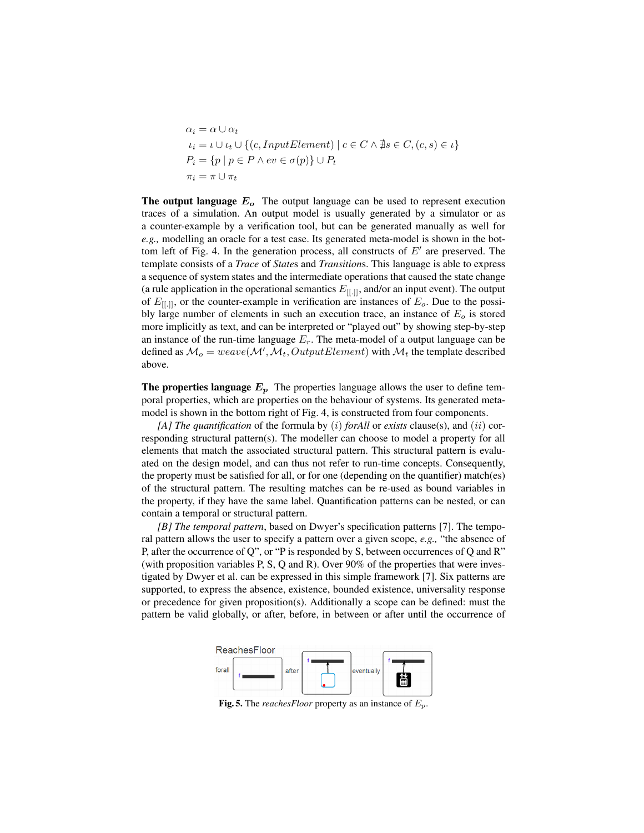$$
\alpha_i = \alpha \cup \alpha_t
$$
  
\n
$$
\iota_i = \iota \cup \iota_t \cup \{ (c, InputElement) \mid c \in C \land \nexists s \in C, (c, s) \in \iota \}
$$
  
\n
$$
P_i = \{ p \mid p \in P \land ev \in \sigma(p) \} \cup P_t
$$
  
\n
$$
\pi_i = \pi \cup \pi_t
$$

The output language  $E<sub>o</sub>$  The output language can be used to represent execution traces of a simulation. An output model is usually generated by a simulator or as a counter-example by a verification tool, but can be generated manually as well for *e.g.,* modelling an oracle for a test case. Its generated meta-model is shown in the bottom left of Fig. 4. In the generation process, all constructs of  $E'$  are preserved. The template consists of a *Trace* of *State*s and *Transition*s. This language is able to express a sequence of system states and the intermediate operations that caused the state change (a rule application in the operational semantics  $E_{[[.]]}$ , and/or an input event). The output of  $E_{[[,]]}$ , or the counter-example in verification are instances of  $E_o$ . Due to the possibly large number of elements in such an execution trace, an instance of  $E<sub>o</sub>$  is stored more implicitly as text, and can be interpreted or "played out" by showing step-by-step an instance of the run-time language  $E_r$ . The meta-model of a output language can be defined as  $\mathcal{M}_o = \text{weave}(\mathcal{M}', \mathcal{M}_t, \text{Output} \text{Element})$  with  $\mathcal{M}_t$  the template described above.

The properties language  $E_p$  The properties language allows the user to define temporal properties, which are properties on the behaviour of systems. Its generated metamodel is shown in the bottom right of Fig. 4, is constructed from four components.

*[A] The quantification* of the formula by (i) *forAll* or *exists* clause(s), and (ii) corresponding structural pattern(s). The modeller can choose to model a property for all elements that match the associated structural pattern. This structural pattern is evaluated on the design model, and can thus not refer to run-time concepts. Consequently, the property must be satisfied for all, or for one (depending on the quantifier) match(es) of the structural pattern. The resulting matches can be re-used as bound variables in the property, if they have the same label. Quantification patterns can be nested, or can contain a temporal or structural pattern.

*[B] The temporal pattern*, based on Dwyer's specification patterns [7]. The temporal pattern allows the user to specify a pattern over a given scope, *e.g.,* "the absence of P, after the occurrence of Q", or "P is responded by S, between occurrences of Q and R" (with proposition variables P, S, Q and R). Over 90% of the properties that were investigated by Dwyer et al. can be expressed in this simple framework [7]. Six patterns are supported, to express the absence, existence, bounded existence, universality response or precedence for given proposition(s). Additionally a scope can be defined: must the pattern be valid globally, or after, before, in between or after until the occurrence of



**Fig. 5.** The *reachesFloor* property as an instance of  $E_p$ .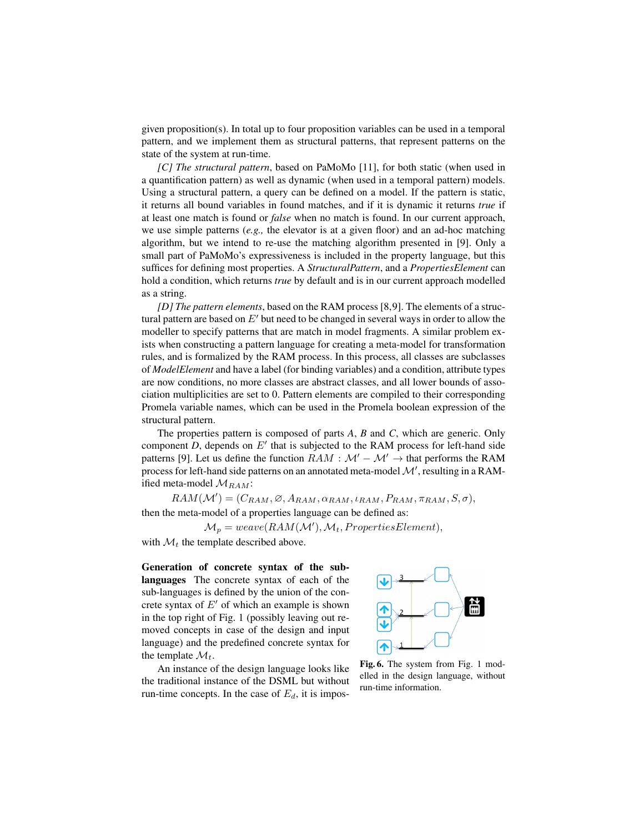given proposition(s). In total up to four proposition variables can be used in a temporal pattern, and we implement them as structural patterns, that represent patterns on the state of the system at run-time.

*[C] The structural pattern*, based on PaMoMo [11], for both static (when used in a quantification pattern) as well as dynamic (when used in a temporal pattern) models. Using a structural pattern, a query can be defined on a model. If the pattern is static, it returns all bound variables in found matches, and if it is dynamic it returns *true* if at least one match is found or *false* when no match is found. In our current approach, we use simple patterns (*e.g.,* the elevator is at a given floor) and an ad-hoc matching algorithm, but we intend to re-use the matching algorithm presented in [9]. Only a small part of PaMoMo's expressiveness is included in the property language, but this suffices for defining most properties. A *StructuralPattern*, and a *PropertiesElement* can hold a condition, which returns *true* by default and is in our current approach modelled as a string.

*[D] The pattern elements*, based on the RAM process [8,9]. The elements of a structural pattern are based on  $E'$  but need to be changed in several ways in order to allow the modeller to specify patterns that are match in model fragments. A similar problem exists when constructing a pattern language for creating a meta-model for transformation rules, and is formalized by the RAM process. In this process, all classes are subclasses of *ModelElement* and have a label (for binding variables) and a condition, attribute types are now conditions, no more classes are abstract classes, and all lower bounds of association multiplicities are set to 0. Pattern elements are compiled to their corresponding Promela variable names, which can be used in the Promela boolean expression of the structural pattern.

The properties pattern is composed of parts *A*, *B* and *C*, which are generic. Only component  $D$ , depends on  $E'$  that is subjected to the RAM process for left-hand side patterns [9]. Let us define the function  $RAM : \mathcal{M}' - \mathcal{M}' \rightarrow$  that performs the RAM process for left-hand side patterns on an annotated meta-model  $\mathcal{M}'$ , resulting in a RAMified meta-model  $M_{RAM}$ :

 $RAM(\mathcal{M}') = (C_{RAM}, \varnothing, A_{RAM}, \alpha_{RAM}, \iota_{RAM}, P_{RAM}, \pi_{RAM}, S, \sigma),$ then the meta-model of a properties language can be defined as:

 $\mathcal{M}_p = \text{weave}(RAM(\mathcal{M}'), \mathcal{M}_t, PropertiesElement),$ 

with  $\mathcal{M}_t$  the template described above.

Generation of concrete syntax of the sublanguages The concrete syntax of each of the sub-languages is defined by the union of the concrete syntax of  $E'$  of which an example is shown in the top right of Fig. 1 (possibly leaving out removed concepts in case of the design and input language) and the predefined concrete syntax for the template  $\mathcal{M}_t$ .

An instance of the design language looks like the traditional instance of the DSML but without run-time concepts. In the case of  $E_d$ , it is impos-



Fig. 6. The system from Fig. 1 modelled in the design language, without run-time information.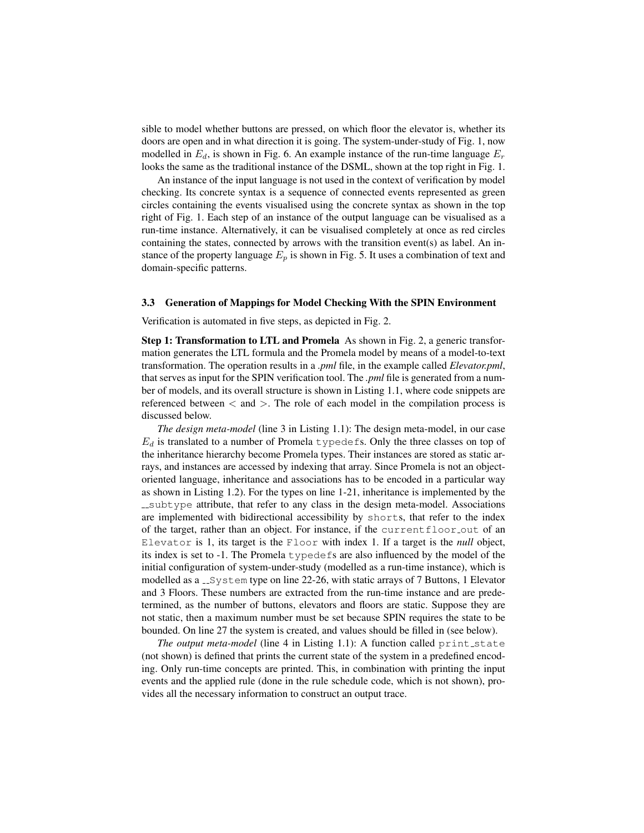sible to model whether buttons are pressed, on which floor the elevator is, whether its doors are open and in what direction it is going. The system-under-study of Fig. 1, now modelled in  $E_d$ , is shown in Fig. 6. An example instance of the run-time language  $E_r$ looks the same as the traditional instance of the DSML, shown at the top right in Fig. 1.

An instance of the input language is not used in the context of verification by model checking. Its concrete syntax is a sequence of connected events represented as green circles containing the events visualised using the concrete syntax as shown in the top right of Fig. 1. Each step of an instance of the output language can be visualised as a run-time instance. Alternatively, it can be visualised completely at once as red circles containing the states, connected by arrows with the transition event(s) as label. An instance of the property language  $E_p$  is shown in Fig. 5. It uses a combination of text and domain-specific patterns.

#### 3.3 Generation of Mappings for Model Checking With the SPIN Environment

Verification is automated in five steps, as depicted in Fig. 2.

Step 1: Transformation to LTL and Promela As shown in Fig. 2, a generic transformation generates the LTL formula and the Promela model by means of a model-to-text transformation. The operation results in a *.pml* file, in the example called *Elevator.pml*, that serves as input for the SPIN verification tool. The *.pml* file is generated from a number of models, and its overall structure is shown in Listing 1.1, where code snippets are referenced between  $\langle$  and  $\rangle$ . The role of each model in the compilation process is discussed below.

*The design meta-model* (line 3 in Listing 1.1): The design meta-model, in our case  $E_d$  is translated to a number of Promela typedefs. Only the three classes on top of the inheritance hierarchy become Promela types. Their instances are stored as static arrays, and instances are accessed by indexing that array. Since Promela is not an objectoriented language, inheritance and associations has to be encoded in a particular way as shown in Listing 1.2). For the types on line 1-21, inheritance is implemented by the  $\Box$ subtype attribute, that refer to any class in the design meta-model. Associations are implemented with bidirectional accessibility by shorts, that refer to the index of the target, rather than an object. For instance, if the currentfloor out of an Elevator is 1, its target is the Floor with index 1. If a target is the *null* object, its index is set to -1. The Promela typedefs are also influenced by the model of the initial configuration of system-under-study (modelled as a run-time instance), which is modelled as a  $\sqrt{2}$ -System type on line 22-26, with static arrays of 7 Buttons, 1 Elevator and 3 Floors. These numbers are extracted from the run-time instance and are predetermined, as the number of buttons, elevators and floors are static. Suppose they are not static, then a maximum number must be set because SPIN requires the state to be bounded. On line 27 the system is created, and values should be filled in (see below).

*The output meta-model* (line 4 in Listing 1.1): A function called print state (not shown) is defined that prints the current state of the system in a predefined encoding. Only run-time concepts are printed. This, in combination with printing the input events and the applied rule (done in the rule schedule code, which is not shown), provides all the necessary information to construct an output trace.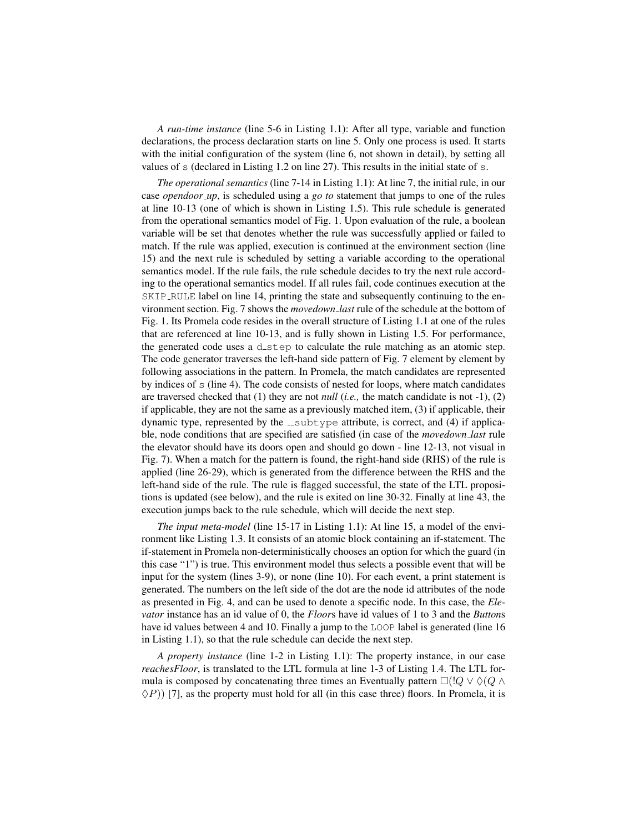*A run-time instance* (line 5-6 in Listing 1.1): After all type, variable and function declarations, the process declaration starts on line 5. Only one process is used. It starts with the initial configuration of the system (line 6, not shown in detail), by setting all values of s (declared in Listing 1.2 on line 27). This results in the initial state of s.

*The operational semantics* (line 7-14 in Listing 1.1): At line 7, the initial rule, in our case *opendoor up*, is scheduled using a *go to* statement that jumps to one of the rules at line 10-13 (one of which is shown in Listing 1.5). This rule schedule is generated from the operational semantics model of Fig. 1. Upon evaluation of the rule, a boolean variable will be set that denotes whether the rule was successfully applied or failed to match. If the rule was applied, execution is continued at the environment section (line 15) and the next rule is scheduled by setting a variable according to the operational semantics model. If the rule fails, the rule schedule decides to try the next rule according to the operational semantics model. If all rules fail, code continues execution at the SKIP RULE label on line 14, printing the state and subsequently continuing to the environment section. Fig. 7 shows the *movedown last* rule of the schedule at the bottom of Fig. 1. Its Promela code resides in the overall structure of Listing 1.1 at one of the rules that are referenced at line 10-13, and is fully shown in Listing 1.5. For performance, the generated code uses a  $d$ -step to calculate the rule matching as an atomic step. The code generator traverses the left-hand side pattern of Fig. 7 element by element by following associations in the pattern. In Promela, the match candidates are represented by indices of s (line 4). The code consists of nested for loops, where match candidates are traversed checked that (1) they are not *null* (*i.e.,* the match candidate is not -1), (2) if applicable, they are not the same as a previously matched item, (3) if applicable, their dynamic type, represented by the  $\sqrt{2}$  subtype attribute, is correct, and (4) if applicable, node conditions that are specified are satisfied (in case of the *movedown last* rule the elevator should have its doors open and should go down - line 12-13, not visual in Fig. 7). When a match for the pattern is found, the right-hand side (RHS) of the rule is applied (line 26-29), which is generated from the difference between the RHS and the left-hand side of the rule. The rule is flagged successful, the state of the LTL propositions is updated (see below), and the rule is exited on line 30-32. Finally at line 43, the execution jumps back to the rule schedule, which will decide the next step.

*The input meta-model* (line 15-17 in Listing 1.1): At line 15, a model of the environment like Listing 1.3. It consists of an atomic block containing an if-statement. The if-statement in Promela non-deterministically chooses an option for which the guard (in this case "1") is true. This environment model thus selects a possible event that will be input for the system (lines 3-9), or none (line 10). For each event, a print statement is generated. The numbers on the left side of the dot are the node id attributes of the node as presented in Fig. 4, and can be used to denote a specific node. In this case, the *Elevator* instance has an id value of 0, the *Floor*s have id values of 1 to 3 and the *Button*s have id values between 4 and 10. Finally a jump to the LOOP label is generated (line 16 in Listing 1.1), so that the rule schedule can decide the next step.

*A property instance* (line 1-2 in Listing 1.1): The property instance, in our case *reachesFloor*, is translated to the LTL formula at line 1-3 of Listing 1.4. The LTL formula is composed by concatenating three times an Eventually pattern  $\Box (!Q \lor \Diamond (Q \land$  $\langle \Diamond P \rangle$ ) [7], as the property must hold for all (in this case three) floors. In Promela, it is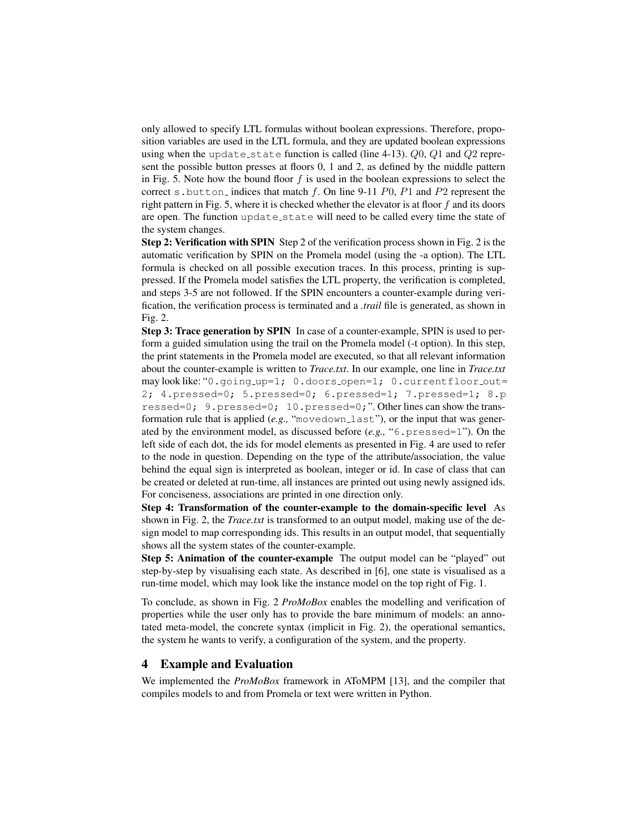only allowed to specify LTL formulas without boolean expressions. Therefore, proposition variables are used in the LTL formula, and they are updated boolean expressions using when the update state function is called (line 4-13).  $Q_0$ ,  $Q_1$  and  $Q_2$  represent the possible button presses at floors 0, 1 and 2, as defined by the middle pattern in Fig. 5. Note how the bound floor  $f$  is used in the boolean expressions to select the correct s. button indices that match f. On line 9-11 P0, P1 and P2 represent the right pattern in Fig. 5, where it is checked whether the elevator is at floor  $f$  and its doors are open. The function update\_state will need to be called every time the state of the system changes.

Step 2: Verification with SPIN Step 2 of the verification process shown in Fig. 2 is the automatic verification by SPIN on the Promela model (using the -a option). The LTL formula is checked on all possible execution traces. In this process, printing is suppressed. If the Promela model satisfies the LTL property, the verification is completed, and steps 3-5 are not followed. If the SPIN encounters a counter-example during verification, the verification process is terminated and a *.trail* file is generated, as shown in Fig. 2.

Step 3: Trace generation by SPIN In case of a counter-example, SPIN is used to perform a guided simulation using the trail on the Promela model (-t option). In this step, the print statements in the Promela model are executed, so that all relevant information about the counter-example is written to *Trace.txt*. In our example, one line in *Trace.txt* may look like: "0.going\_up=1; 0.doors\_open=1; 0.currentfloor\_out= 2; 4.pressed=0; 5.pressed=0; 6.pressed=1; 7.pressed=1; 8.p ressed=0; 9.pressed=0; 10.pressed=0;". Other lines can show the transformation rule that is applied (*e.g.,* "movedown last"), or the input that was generated by the environment model, as discussed before (*e.g.,* "6.pressed=1"). On the left side of each dot, the ids for model elements as presented in Fig. 4 are used to refer to the node in question. Depending on the type of the attribute/association, the value behind the equal sign is interpreted as boolean, integer or id. In case of class that can be created or deleted at run-time, all instances are printed out using newly assigned ids. For conciseness, associations are printed in one direction only.

Step 4: Transformation of the counter-example to the domain-specific level As shown in Fig. 2, the *Trace.txt* is transformed to an output model, making use of the design model to map corresponding ids. This results in an output model, that sequentially shows all the system states of the counter-example.

Step 5: Animation of the counter-example The output model can be "played" out step-by-step by visualising each state. As described in [6], one state is visualised as a run-time model, which may look like the instance model on the top right of Fig. 1.

To conclude, as shown in Fig. 2 *ProMoBox* enables the modelling and verification of properties while the user only has to provide the bare minimum of models: an annotated meta-model, the concrete syntax (implicit in Fig. 2), the operational semantics, the system he wants to verify, a configuration of the system, and the property.

## 4 Example and Evaluation

We implemented the *ProMoBox* framework in AToMPM [13], and the compiler that compiles models to and from Promela or text were written in Python.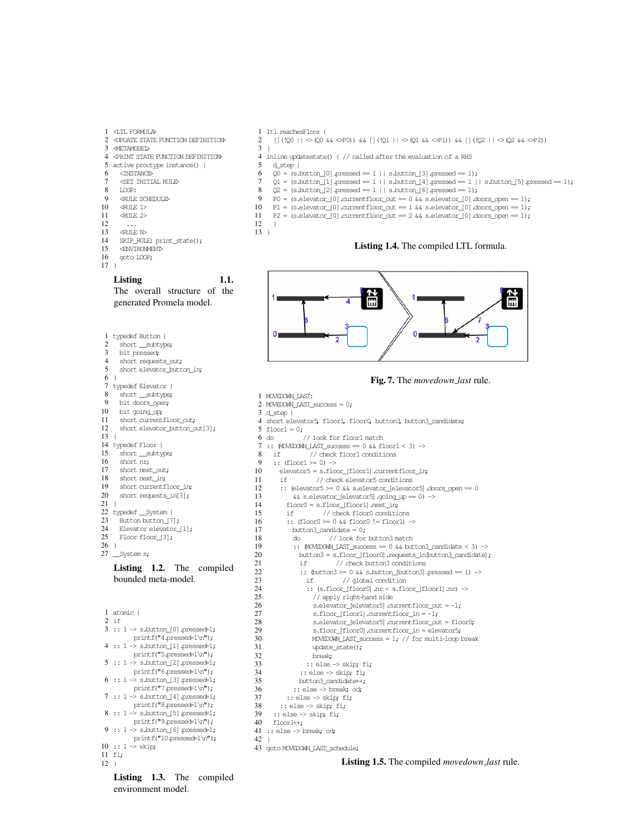3 <METAMODEL> 4 <PRINT STATE FUNCTION DEFINITION> 5 active proctype instance() { 6 <TNSTANCE> 7 <SET INITIAL RULE>  $8 \quad \text{TOP}$ 9 <RULE SCHEDULE><br>10 <RULE 1>  $\triangle$ RULE 1> 11  $\leftarrow$  2><br>12 12 ... 13 <RULE N> 14 SKIP\_RULE: print\_state();<br>15 <FNVIRONMENT> 15 <ENVIRONMENT> 16 goto LOOP; 17 } Listing 1.1. The overall structure of the generated Promela model. 1 typedef Button { 2 short \_\_subtype;<br>3 bit pressed: 3 bit pressed;<br>4 short request 4 short requests\_out;<br>5 short elevator butt short elevator\_button\_in; 6 } 7 typedef Elevator {<br>8 short subtype: short subtype; 9 bit doors\_open;<br>10 bit going up; bit going\_up; 11 short currentfloor\_out;<br>12 short elevator button of short elevator\_button\_out[3]; 13 } 14 typedef Floor { 15 short \_\_subtype;<br>16 short nr: short nr: 17 short next\_out; 18 short next\_in;<br>19 short currentf. 3 } 4 inline updatestate() { // called after the evaluation of a RHS 5 d\_step {  $\begin{array}{l} \mathsf{6} \quad \ \ \, \mathsf{Q0} = \left( \mathsf{s}.\mathsf{button\_[0]}.\mathsf{pressed} == 1 \mid\ \mid \ \mathsf{s.button\_[3]}.\mathsf{pressed} == 1 \right) \end{array}$ 7  $Q1 = (s.button[1].pressed == 1 | | s.button[4].pressed == 1 | | s.button[5].pressed == 1);$ <br>8  $Q2 = (s.button[2].pressed == 1 | | s.button[6].pressed == 1);$  $Q2 = (s.button_2]$ .pressed == 1 || s.button\_[6].pressed == 1); 9 P0 = (s.elevator\_[0].currentfloor\_out == 0 && s.elevator\_[0].doors\_open == 1);<br>10 P1 = (s.elevator\_[0].currentfloor\_out == 1 && s.elevator\_[0].doors\_open == 1);  $P1 = (s.\text{elevation}[0].\text{currentfloor\_out} == 1$  && s.elevator $[0].\text{dors\_open} == 1)$ ; 11 P2 = (s.elevator\_[0].currentfloor\_out == 2 && s.elevator\_[0].doors\_open == 1); 12 }  $13<sup>1</sup>$ Listing 1.4. The compiled LTL formula. 1 MOVEDOWN\_LAST: 2 MOVEDOWN LAST success  $= 0$ : 3 d\_step { 4 short elevator5, floor1, floor0, button3, button3\_candidate; 5 floor1 =  $0$ ;<br>6 do // look for floor1 match 7 :: (MOVEDOWN\_LAST\_success == 0 && floor1 < 3) -> 8 if // check floor1 conditions 8 if // check floor1 conditions<br>9 :  $(f \text{ or } 1) = 0$  => 9 :: (floor1 >= 0) -><br>10 elevator5 = s flo 10 elevator5 =  $s$ .floor\_[floor1].currentfloor\_in;<br>11 if // check elevator5 conditions 11 if  $\frac{1}{2}$  if  $\frac{1}{2}$  if  $\frac{1}{2}$  if  $\frac{1}{2}$  check elevator5 conditions

Fig. 7. The *movedown last* rule.

```
1 atomic {
 2 \text{ if }3 : : 1 \rightarrow s.button[0].pressed=1;
           printf("4.pressed=1\n");
 4 : : 1 \rightarrow s.button[1].pressed=1;
          printf("5.pressed=1\n");
 5 : : 1 \rightarrow s.button[2].pressed=1;
          printf("6.pressed=1\n");
 6 : : 1 \rightarrow s.button_[3].pressed=1;
          printf("7.pressed=1\n");
 7 : : 1 \rightarrow s.button[4].pressed=1;
          printf("8.pressed=1\n");
 8 : : 1 \rightarrow s.button[5].pressed=1;
          printf("9.pressed=1\n");
 9 : : 1 \rightarrow s.button[6].pressed=1;
           printf("10.pressed=1\n");
10 :: 1 \rightarrow skip;
11 fi;
12 }
```
Listing 1.3. The compiled

environment model.

Listing 1.2. The compiled

bounded meta-model.

19 short currentfloor\_in;<br>20 short requests in[3]:  $short$  requests\_in[3];

22 typedef System {<br>23 Button button [7] 23 Button button [7];<br>24 Elevator elevator 24 Elevator elevator [1];<br>25 Floor floor [3]: Floor floor [3];

 $21 \;$  }

26 } 27 System s:

 $1 <$ T.TT, FORMULA $>$ 

2 <UPDATE STATE FUNCTION DEFINITION>

Listing 1.5. The compiled *movedown last* rule.

1 ltl reachesFloor {<br>2  $(100 + 800 + 800)$  $[1(20 \mid \mid \infty)$  (20 &&  $\infty$ P0)) &&  $[1(21 \mid \mid \infty)$  (21 &&  $\infty$ P1)) &&  $[1(22 \mid \mid \infty)$  (22 &&  $\infty$ P2))

- -
	-

12 :: (elevator5 >= 0 && s.elevator\_[elevator5].doors\_open == 0<br>13  $66$  s.elevator [elevator5].doorg up == 0) ->

19 :: (MOVEDOWN\_LAST\_success == 0 && button3\_candidate < 3) -> 20 button3 = s.floor [floor()].requests in[button3 candidate] 20 button3 =  $s$ .floor\_[floor0].requests\_in[button3\_candidate];<br>21 if // check button3 conditions

22 :: (button3 >= 0 && s.button\_[button3].pressed == 1) -> 23 if  $//$  global condition

24 :: (s.floor\_[floor0].nr < s.floor\_[floor1].nr) -> 25 // apply right-hand side

26 s.elevator\_[elevator5].currentfloor\_out = -1;<br>27 s.floor\_[floor1].currentfloor\_in = -1; 27  $\qquad s.floor[floor]$ .currentfloor\_in = -1;<br>28  $\qquad s.elevator$  [elevator5].currentfloor\_ou 28 s.elevator\_[elevator5].currentfloor\_out = floor0;<br>29 s.floor ffloor0l.currentfloor in = elevator5: 29 s.floor\_[floor0].currentfloor\_in = elevator5;<br>30 MOVEDOWN LAST success = 1; // for multi-loop l 30 MOVEDOWN\_IAST\_success = 1; // for multi-loop break<br>31 update\_state();

13  $&\&$  s.elevator\_[elevator5].going\_up == 0) -> 14  $\text{floor} = s.\text{floor}$  [floor1].next\_in; 14  $floor = s.floor[floor1] \text{ next_in};$ <br>15 if // check  $floor0 \text{ condition}$ 15 if // check floor0 conditions<br>16 :: (floor0 >= 0 && floor0 != floor1) 16 :: (floor0 >= 0 && floor0 != floor1) -> <br>17 button3\_candidate = 0;

18 do // look for button3 match<br>19 : MOVEDOWN LAST success = 0 && but

23 if // global condition<br>24 :: (s.floor [floor0] .nr < s.flo

25 // apply right-hand side<br>26 s.elevator\_[elevator5].cu

21 if  $//$  check button3 conditions<br>22 :: (button3 >=  $0$  && s.button\_[button3]

17 button3\_candidate =  $0;$ <br>18 do // look for

31 update\_state();<br>32 break:  $32$  break;<br> $33$  :: else -33 :: else -> skip; fi;<br>34 :: else -> skip; fi; 34 :: else -> skip; fi;<br>35 button3\_candidate++; 35 button3\_candidate++;<br>36 :: else -> break; od; 36 :: else -> break; od;<br>37 :: else -> skip: fi; 37 :: else -> skip; fi;<br>38 :: else -> skip; fi; 38 :: else -> skip; fi;<br>39 :: else -> skip; fi; 39 :: else -> skip; fi;<br>40 floorl++;  $f$ loor1++: 41 :: else -> break; od;

43 goto MOVEDOWN\_LAST\_schedule;

42 }

- -
- -
- 
-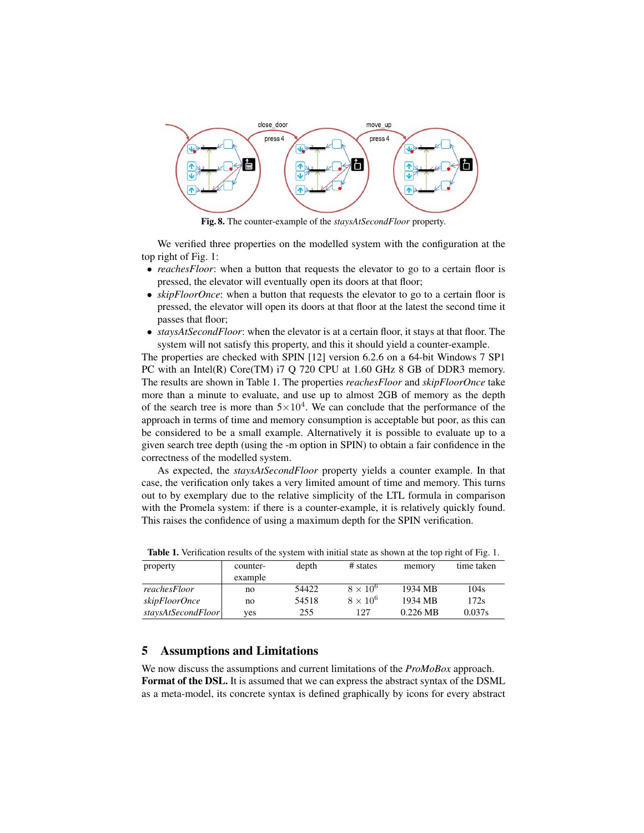

Fig. 8. The counter-example of the *staysAtSecondFloor* property.

We verified three properties on the modelled system with the configuration at the top right of Fig. 1:

- *reachesFloor*: when a button that requests the elevator to go to a certain floor is pressed, the elevator will eventually open its doors at that floor;
- *skipFloorOnce*: when a button that requests the elevator to go to a certain floor is pressed, the elevator will open its doors at that floor at the latest the second time it passes that floor;
- *staysAtSecondFloor*: when the elevator is at a certain floor, it stays at that floor. The system will not satisfy this property, and this it should yield a counter-example.

The properties are checked with SPIN [12] version 6.2.6 on a 64-bit Windows 7 SP1 PC with an Intel(R) Core(TM) i7 Q 720 CPU at 1.60 GHz 8 GB of DDR3 memory. The results are shown in Table 1. The properties *reachesFloor* and *skipFloorOnce* take more than a minute to evaluate, and use up to almost 2GB of memory as the depth of the search tree is more than  $5 \times 10^4$ . We can conclude that the performance of the approach in terms of time and memory consumption is acceptable but poor, as this can be considered to be a small example. Alternatively it is possible to evaluate up to a given search tree depth (using the -m option in SPIN) to obtain a fair confidence in the correctness of the modelled system.

As expected, the *staysAtSecondFloor* property yields a counter example. In that case, the verification only takes a very limited amount of time and memory. This turns out to by exemplary due to the relative simplicity of the LTL formula in comparison with the Promela system: if there is a counter-example, it is relatively quickly found. This raises the confidence of using a maximum depth for the SPIN verification.

| property           | counter- | depth | $#$ states        | memory     | time taken |
|--------------------|----------|-------|-------------------|------------|------------|
|                    | example  |       |                   |            |            |
| reachesFloor       | no       | 54422 | $8 \times 10^{6}$ | 1934 MB    | 104s       |
| skipFloorOnce      | no       | 54518 | $8 \times 10^6$   | 1934 MB    | 172s       |
| staysAtSecondFloor | ves      | 255   | 127               | $0.226$ MB | 0.037s     |

Table 1. Verification results of the system with initial state as shown at the top right of Fig. 1.

## 5 Assumptions and Limitations

We now discuss the assumptions and current limitations of the *ProMoBox* approach. Format of the DSL. It is assumed that we can express the abstract syntax of the DSML as a meta-model, its concrete syntax is defined graphically by icons for every abstract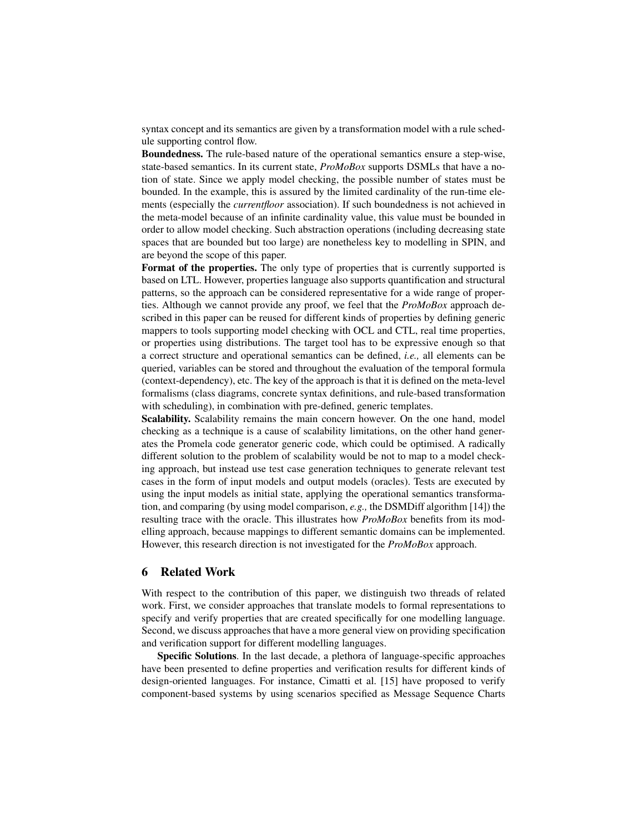syntax concept and its semantics are given by a transformation model with a rule schedule supporting control flow.

Boundedness. The rule-based nature of the operational semantics ensure a step-wise, state-based semantics. In its current state, *ProMoBox* supports DSMLs that have a notion of state. Since we apply model checking, the possible number of states must be bounded. In the example, this is assured by the limited cardinality of the run-time elements (especially the *currentfloor* association). If such boundedness is not achieved in the meta-model because of an infinite cardinality value, this value must be bounded in order to allow model checking. Such abstraction operations (including decreasing state spaces that are bounded but too large) are nonetheless key to modelling in SPIN, and are beyond the scope of this paper.

Format of the properties. The only type of properties that is currently supported is based on LTL. However, properties language also supports quantification and structural patterns, so the approach can be considered representative for a wide range of properties. Although we cannot provide any proof, we feel that the *ProMoBox* approach described in this paper can be reused for different kinds of properties by defining generic mappers to tools supporting model checking with OCL and CTL, real time properties, or properties using distributions. The target tool has to be expressive enough so that a correct structure and operational semantics can be defined, *i.e.,* all elements can be queried, variables can be stored and throughout the evaluation of the temporal formula (context-dependency), etc. The key of the approach is that it is defined on the meta-level formalisms (class diagrams, concrete syntax definitions, and rule-based transformation with scheduling), in combination with pre-defined, generic templates.

Scalability. Scalability remains the main concern however. On the one hand, model checking as a technique is a cause of scalability limitations, on the other hand generates the Promela code generator generic code, which could be optimised. A radically different solution to the problem of scalability would be not to map to a model checking approach, but instead use test case generation techniques to generate relevant test cases in the form of input models and output models (oracles). Tests are executed by using the input models as initial state, applying the operational semantics transformation, and comparing (by using model comparison, *e.g.,* the DSMDiff algorithm [14]) the resulting trace with the oracle. This illustrates how *ProMoBox* benefits from its modelling approach, because mappings to different semantic domains can be implemented. However, this research direction is not investigated for the *ProMoBox* approach.

## 6 Related Work

With respect to the contribution of this paper, we distinguish two threads of related work. First, we consider approaches that translate models to formal representations to specify and verify properties that are created specifically for one modelling language. Second, we discuss approaches that have a more general view on providing specification and verification support for different modelling languages.

Specific Solutions. In the last decade, a plethora of language-specific approaches have been presented to define properties and verification results for different kinds of design-oriented languages. For instance, Cimatti et al. [15] have proposed to verify component-based systems by using scenarios specified as Message Sequence Charts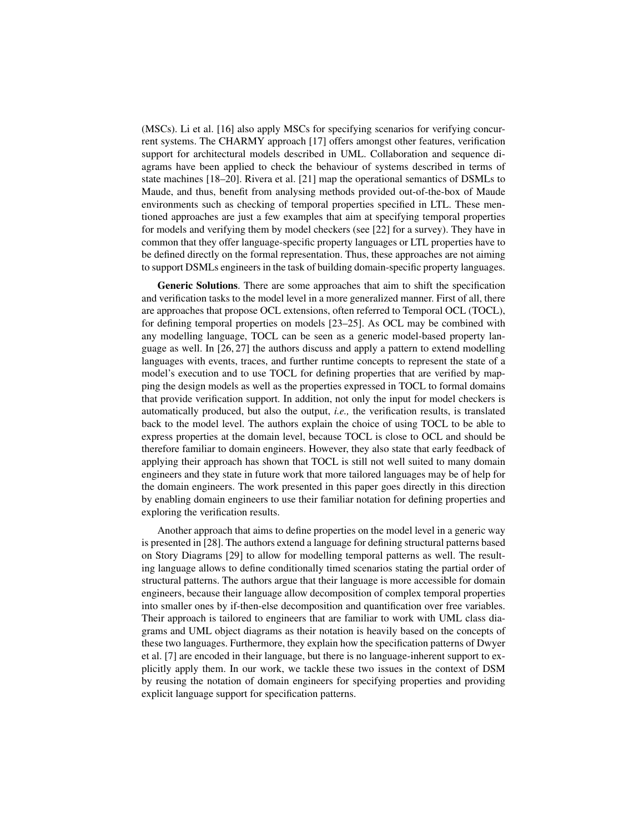(MSCs). Li et al. [16] also apply MSCs for specifying scenarios for verifying concurrent systems. The CHARMY approach [17] offers amongst other features, verification support for architectural models described in UML. Collaboration and sequence diagrams have been applied to check the behaviour of systems described in terms of state machines [18–20]. Rivera et al. [21] map the operational semantics of DSMLs to Maude, and thus, benefit from analysing methods provided out-of-the-box of Maude environments such as checking of temporal properties specified in LTL. These mentioned approaches are just a few examples that aim at specifying temporal properties for models and verifying them by model checkers (see [22] for a survey). They have in common that they offer language-specific property languages or LTL properties have to be defined directly on the formal representation. Thus, these approaches are not aiming to support DSMLs engineers in the task of building domain-specific property languages.

Generic Solutions. There are some approaches that aim to shift the specification and verification tasks to the model level in a more generalized manner. First of all, there are approaches that propose OCL extensions, often referred to Temporal OCL (TOCL), for defining temporal properties on models [23–25]. As OCL may be combined with any modelling language, TOCL can be seen as a generic model-based property language as well. In [26, 27] the authors discuss and apply a pattern to extend modelling languages with events, traces, and further runtime concepts to represent the state of a model's execution and to use TOCL for defining properties that are verified by mapping the design models as well as the properties expressed in TOCL to formal domains that provide verification support. In addition, not only the input for model checkers is automatically produced, but also the output, *i.e.,* the verification results, is translated back to the model level. The authors explain the choice of using TOCL to be able to express properties at the domain level, because TOCL is close to OCL and should be therefore familiar to domain engineers. However, they also state that early feedback of applying their approach has shown that TOCL is still not well suited to many domain engineers and they state in future work that more tailored languages may be of help for the domain engineers. The work presented in this paper goes directly in this direction by enabling domain engineers to use their familiar notation for defining properties and exploring the verification results.

Another approach that aims to define properties on the model level in a generic way is presented in [28]. The authors extend a language for defining structural patterns based on Story Diagrams [29] to allow for modelling temporal patterns as well. The resulting language allows to define conditionally timed scenarios stating the partial order of structural patterns. The authors argue that their language is more accessible for domain engineers, because their language allow decomposition of complex temporal properties into smaller ones by if-then-else decomposition and quantification over free variables. Their approach is tailored to engineers that are familiar to work with UML class diagrams and UML object diagrams as their notation is heavily based on the concepts of these two languages. Furthermore, they explain how the specification patterns of Dwyer et al. [7] are encoded in their language, but there is no language-inherent support to explicitly apply them. In our work, we tackle these two issues in the context of DSM by reusing the notation of domain engineers for specifying properties and providing explicit language support for specification patterns.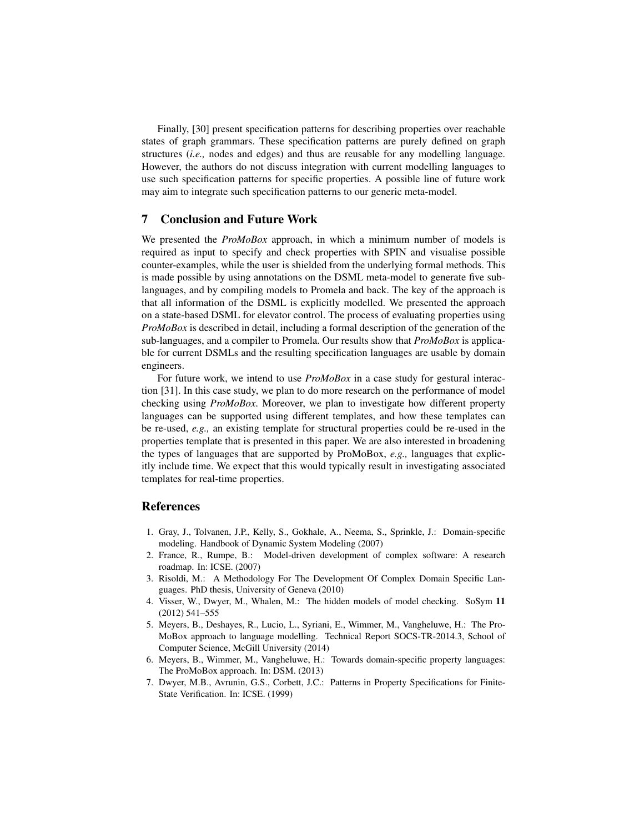Finally, [30] present specification patterns for describing properties over reachable states of graph grammars. These specification patterns are purely defined on graph structures (*i.e.,* nodes and edges) and thus are reusable for any modelling language. However, the authors do not discuss integration with current modelling languages to use such specification patterns for specific properties. A possible line of future work may aim to integrate such specification patterns to our generic meta-model.

## 7 Conclusion and Future Work

We presented the *ProMoBox* approach, in which a minimum number of models is required as input to specify and check properties with SPIN and visualise possible counter-examples, while the user is shielded from the underlying formal methods. This is made possible by using annotations on the DSML meta-model to generate five sublanguages, and by compiling models to Promela and back. The key of the approach is that all information of the DSML is explicitly modelled. We presented the approach on a state-based DSML for elevator control. The process of evaluating properties using *ProMoBox* is described in detail, including a formal description of the generation of the sub-languages, and a compiler to Promela. Our results show that *ProMoBox* is applicable for current DSMLs and the resulting specification languages are usable by domain engineers.

For future work, we intend to use *ProMoBox* in a case study for gestural interaction [31]. In this case study, we plan to do more research on the performance of model checking using *ProMoBox*. Moreover, we plan to investigate how different property languages can be supported using different templates, and how these templates can be re-used, *e.g.,* an existing template for structural properties could be re-used in the properties template that is presented in this paper. We are also interested in broadening the types of languages that are supported by ProMoBox, *e.g.,* languages that explicitly include time. We expect that this would typically result in investigating associated templates for real-time properties.

## References

- 1. Gray, J., Tolvanen, J.P., Kelly, S., Gokhale, A., Neema, S., Sprinkle, J.: Domain-specific modeling. Handbook of Dynamic System Modeling (2007)
- 2. France, R., Rumpe, B.: Model-driven development of complex software: A research roadmap. In: ICSE. (2007)
- 3. Risoldi, M.: A Methodology For The Development Of Complex Domain Specific Languages. PhD thesis, University of Geneva (2010)
- 4. Visser, W., Dwyer, M., Whalen, M.: The hidden models of model checking. SoSym 11 (2012) 541–555
- 5. Meyers, B., Deshayes, R., Lucio, L., Syriani, E., Wimmer, M., Vangheluwe, H.: The Pro-MoBox approach to language modelling. Technical Report SOCS-TR-2014.3, School of Computer Science, McGill University (2014)
- 6. Meyers, B., Wimmer, M., Vangheluwe, H.: Towards domain-specific property languages: The ProMoBox approach. In: DSM. (2013)
- 7. Dwyer, M.B., Avrunin, G.S., Corbett, J.C.: Patterns in Property Specifications for Finite-State Verification. In: ICSE. (1999)